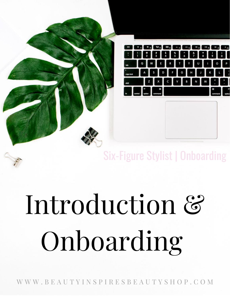

### Six-Figure Stylist | Onboarding

# Introduction & Onboarding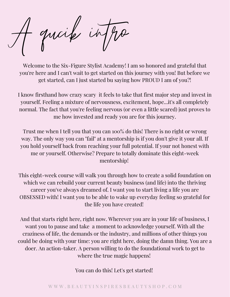quoif in

Welcome to the Six-Figure Stylist Academy! I am so honored and grateful that you're here and I can't wait to get started on this journey with you! But before we get started, can I just started bu saying how PROUD I am of you?!

I know firsthand how crazy scary it feels to take that first major step and invest in yourself. Feeling a mixture of nervousness, excitement, hope...it's all completely normal. The fact that you're feeling nervous (or even a little scared) just proves to me how invested and ready you are for this journey.

Trust me when I tell you that you can 100% do this! There is no right or wrong way. The only way you can "fail" at a mentorship is if you don't give it your all. If you hold yourself back from reaching your full potential. If your not honest with me or yourself. Otherwise? Prepare to totally dominate this eight-week mentorship!

This eight-week course will walk you through how to create a solid foundation on which we can rebuild your current beauty business (and life) into the thriving career you've always dreamed of. I want you to start living a life you are OBSESSED with! I want you to be able to wake up everyday feeling so grateful for the life you have created!

And that starts right here, right now. Wherever you are in your life of business, I want you to pause and take a moment to acknowledge yourself. With all the craziness of life, the demands or the industry, and millions of other things you could be doing with your time: you are right here, doing the damn thing. You are a doer. An action-taker. A person willing to do the foundational work to get to where the true magic happens!

You can do this! Let's get started!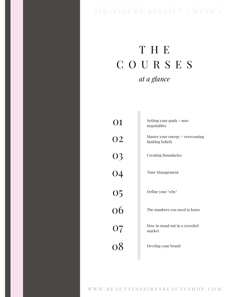#### SIX - FIGURE STYLIST | WEEK 1

### T H E C O U R S E S *at a glance*

п

| 01              | Setting your goals + non-<br>negotiables            |
|-----------------|-----------------------------------------------------|
| 02              | Master your energy + overcoming<br>limiting beliefs |
| 03              | <b>Creating Boundaries</b>                          |
| $\overline{04}$ | <b>Time Management</b>                              |
|                 | Define your "why"                                   |
| $\frac{05}{06}$ | The numbers you need to know                        |
| 07              | How to stand out in a crowded<br>market             |
| 08              | Develop your brand                                  |
|                 |                                                     |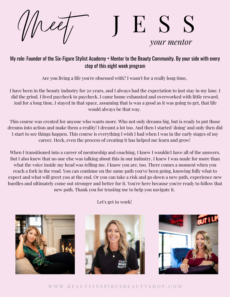### Meet J E S S *your mentor*

#### My role: Founder of the Six-Figure Stylist Academy + Mentor to the Beauty Community. By your side with every step of this eight week program

Are you living a life you're obsessed with? I wasn't for a really long time,

I have been in the beauty industry for 20 years, and I always had the expectation to just stay in my lane. I did the grind. I lived paycheck to paycheck. I came home exhausted and overworked with little reward. And for a long time, I stayed in that space, assuming that is was a good as it was going to get, that life would always be that way.

This course was created for anyone who wants more. Who not only dreams big, but is ready to put those dreams into action and make them a reality! I dreamt a lot too. And then I started 'doing' and only then did I start to see things happen. This course is everything I wish I had when I was in the early stages of my career. Heck, even the process of creating it has helped me learn and grow!

When I transitioned into a career of mentorship and coaching, I knew I wouldn't have all of the answers. But I also knew that no one else was talking about this in our industry. I knew I was made for more than what the voice inside my head was telling me. I know you are, too. There comes a moment when you reach a fork in the road. You can continue on the same path you've been going, knowing fully what to expect and what will greet you at the end. Or you can take a risk and go down a new path, experience new hurdles and ultimately come out stronger and better for it. You're here because you're ready to follow that new path. Thank you for trusting me to help you navigate it.



Let's get to work!



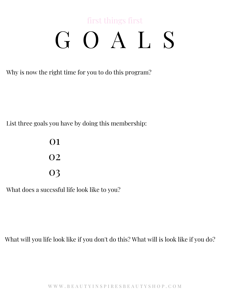### first things first G O A L S

Why is now the right time for you to do this program?

List three goals you have by doing this membership:

01 02 03

What does a succssful life look like to you?

What will you life look like if you don't do this? What will is look like if you do?